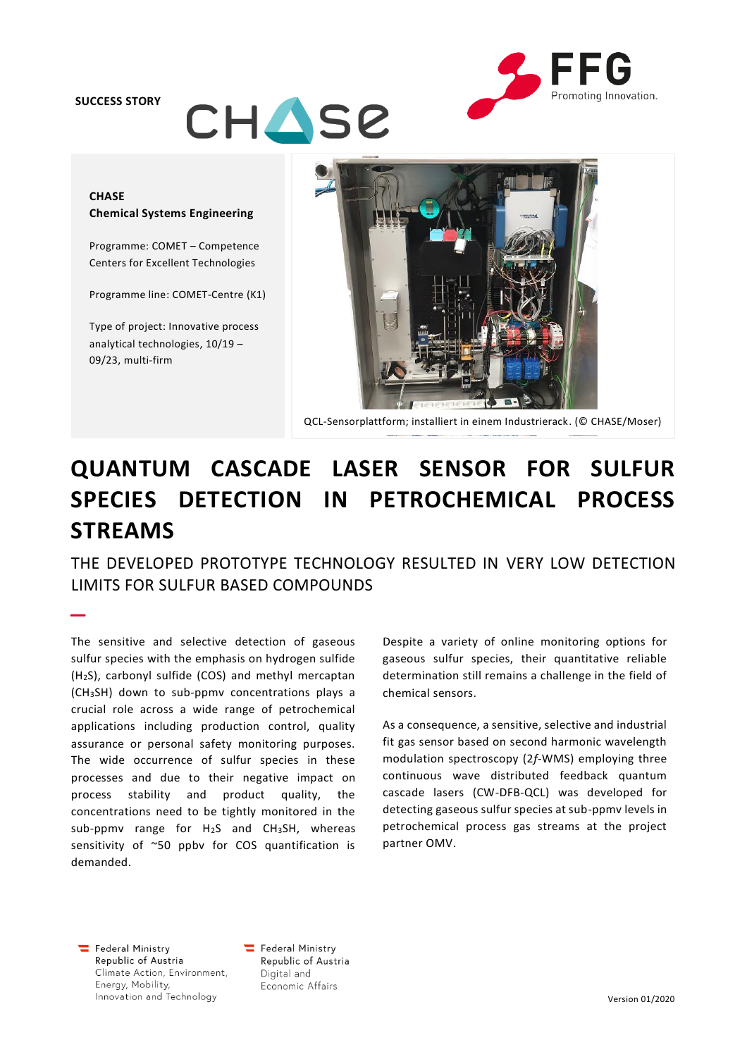#### **SUCCESS STORY**

–



# **CHASE Chemical Systems Engineering**

**CHASE** 

Programme: COMET – Competence Centers for Excellent Technologies

Programme line: COMET-Centre (K1)

Type of project: Innovative process analytical technologies, 10/19 – 09/23, multi-firm



QCL-Sensorplattform; installiert in einem Industrierack. (© CHASE/Moser)

# **QUANTUM CASCADE LASER SENSOR FOR SULFUR SPECIES DETECTION IN PETROCHEMICAL PROCESS STREAMS**

THE DEVELOPED PROTOTYPE TECHNOLOGY RESULTED IN VERY LOW DETECTION LIMITS FOR SULFUR BASED COMPOUNDS

The sensitive and selective detection of gaseous sulfur species with the emphasis on hydrogen sulfide (H2S), carbonyl sulfide (COS) and methyl mercaptan (CH3SH) down to sub-ppmv concentrations plays a crucial role across a wide range of petrochemical applications including production control, quality assurance or personal safety monitoring purposes. The wide occurrence of sulfur species in these processes and due to their negative impact on process stability and product quality, the concentrations need to be tightly monitored in the sub-ppmv range for H2S and CH3SH, whereas sensitivity of ~50 ppbv for COS quantification is demanded.

Despite a variety of online monitoring options for gaseous sulfur species, their quantitative reliable determination still remains a challenge in the field of chemical sensors.

As a consequence, a sensitive, selective and industrial fit gas sensor based on second harmonic wavelength modulation spectroscopy (2*f*-WMS) employing three continuous wave distributed feedback quantum cascade lasers (CW-DFB-QCL) was developed for detecting gaseous sulfur species at sub-ppmv levels in petrochemical process gas streams at the project partner OMV.

Federal Ministry Republic of Austria Climate Action, Environment, Energy, Mobility, Innovation and Technology

Federal Ministry Republic of Austria Digital and Economic Affairs